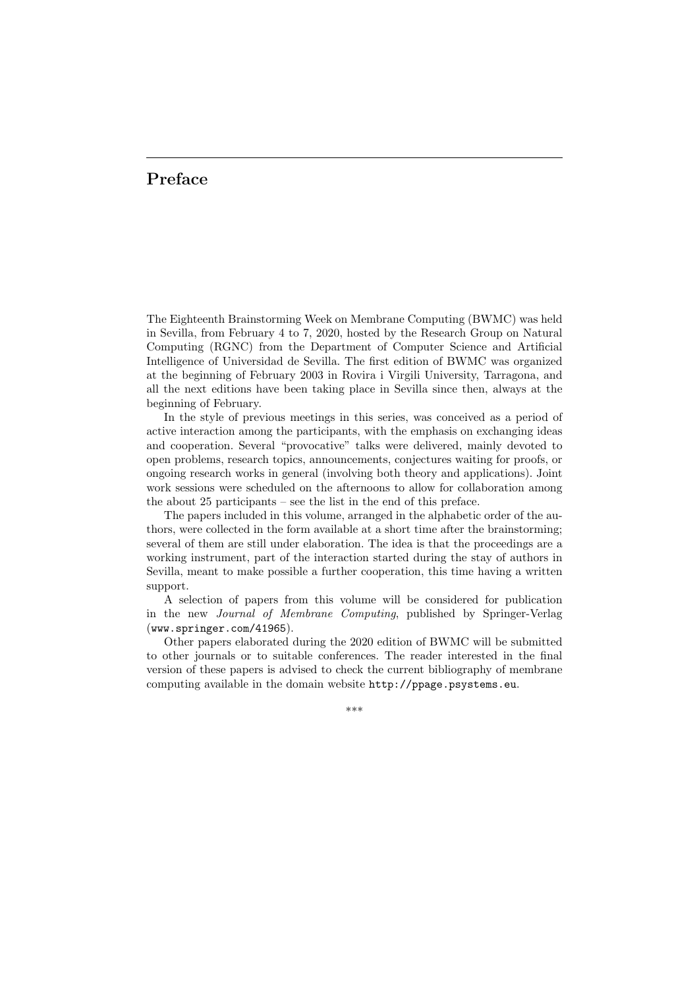## Preface

The Eighteenth Brainstorming Week on Membrane Computing (BWMC) was held in Sevilla, from February 4 to 7, 2020, hosted by the Research Group on Natural Computing (RGNC) from the Department of Computer Science and Artificial Intelligence of Universidad de Sevilla. The first edition of BWMC was organized at the beginning of February 2003 in Rovira i Virgili University, Tarragona, and all the next editions have been taking place in Sevilla since then, always at the beginning of February.

In the style of previous meetings in this series, was conceived as a period of active interaction among the participants, with the emphasis on exchanging ideas and cooperation. Several "provocative" talks were delivered, mainly devoted to open problems, research topics, announcements, conjectures waiting for proofs, or ongoing research works in general (involving both theory and applications). Joint work sessions were scheduled on the afternoons to allow for collaboration among the about 25 participants – see the list in the end of this preface.

The papers included in this volume, arranged in the alphabetic order of the authors, were collected in the form available at a short time after the brainstorming; several of them are still under elaboration. The idea is that the proceedings are a working instrument, part of the interaction started during the stay of authors in Sevilla, meant to make possible a further cooperation, this time having a written support.

A selection of papers from this volume will be considered for publication in the new Journal of Membrane Computing, published by Springer-Verlag (www.springer.com/41965).

Other papers elaborated during the 2020 edition of BWMC will be submitted to other journals or to suitable conferences. The reader interested in the final version of these papers is advised to check the current bibliography of membrane computing available in the domain website http://ppage.psystems.eu.

\*\*\*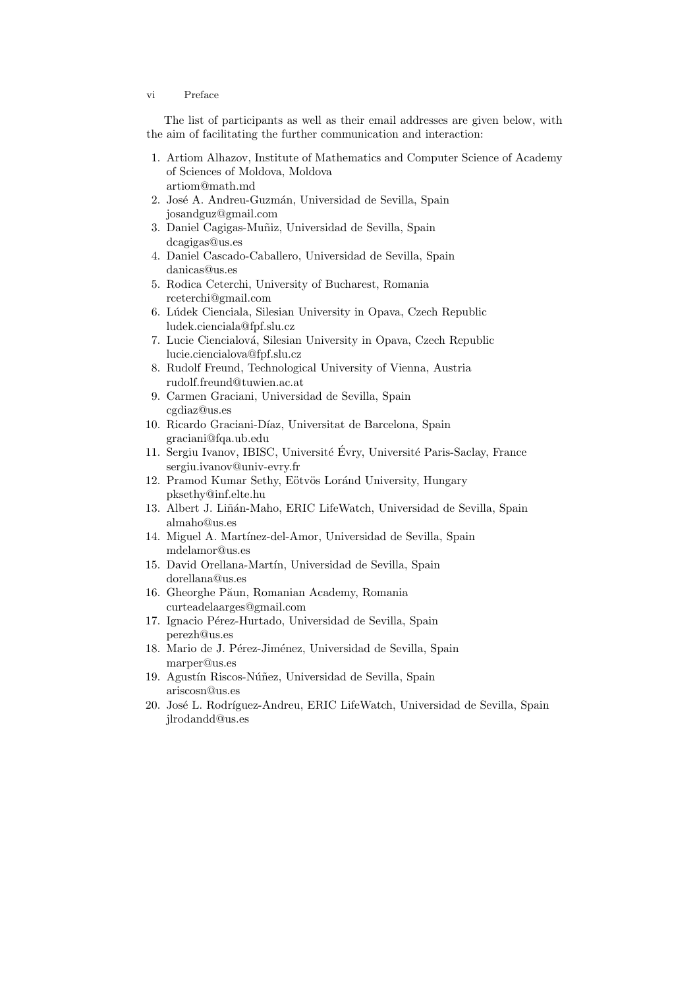## vi Preface

The list of participants as well as their email addresses are given below, with the aim of facilitating the further communication and interaction:

- 1. Artiom Alhazov, Institute of Mathematics and Computer Science of Academy of Sciences of Moldova, Moldova artiom@math.md
- 2. José A. Andreu-Guzmán, Universidad de Sevilla, Spain josandguz@gmail.com
- 3. Daniel Cagigas-Muñiz, Universidad de Sevilla, Spain dcagigas@us.es
- 4. Daniel Cascado-Caballero, Universidad de Sevilla, Spain danicas@us.es
- 5. Rodica Ceterchi, University of Bucharest, Romania rceterchi@gmail.com
- 6. L´udek Cienciala, Silesian University in Opava, Czech Republic ludek.cienciala@fpf.slu.cz
- 7. Lucie Ciencialová, Silesian University in Opava, Czech Republic lucie.ciencialova@fpf.slu.cz
- 8. Rudolf Freund, Technological University of Vienna, Austria rudolf.freund@tuwien.ac.at
- 9. Carmen Graciani, Universidad de Sevilla, Spain cgdiaz@us.es
- 10. Ricardo Graciani-Díaz, Universitat de Barcelona, Spain graciani@fqa.ub.edu
- 11. Sergiu Ivanov, IBISC, Université Évry, Université Paris-Saclay, France sergiu.ivanov@univ-evry.fr
- 12. Pramod Kumar Sethy, Eötvös Loránd University, Hungary pksethy@inf.elte.hu
- 13. Albert J. Liñán-Maho, ERIC LifeWatch, Universidad de Sevilla, Spain almaho@us.es
- 14. Miguel A. Martínez-del-Amor, Universidad de Sevilla, Spain mdelamor@us.es
- 15. David Orellana-Martín, Universidad de Sevilla, Spain dorellana@us.es
- 16. Gheorghe Păun, Romanian Academy, Romania curteadelaarges@gmail.com
- 17. Ignacio Pérez-Hurtado, Universidad de Sevilla, Spain perezh@us.es
- 18. Mario de J. Pérez-Jiménez, Universidad de Sevilla, Spain marper@us.es
- 19. Agustín Riscos-Núñez, Universidad de Sevilla, Spain ariscosn@us.es
- 20. Jos´e L. Rodr´ıguez-Andreu, ERIC LifeWatch, Universidad de Sevilla, Spain jlrodandd@us.es